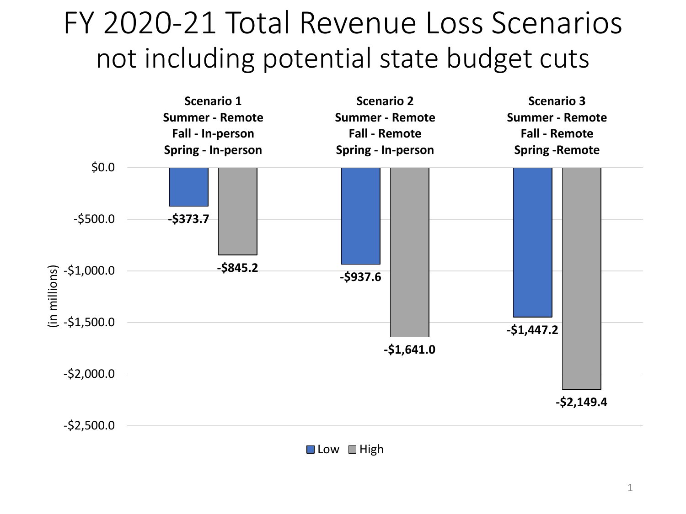## FY 2020-21 Total Revenue Loss Scenarios not including potential state budget cuts



 $\Box$  Low  $\Box$  High